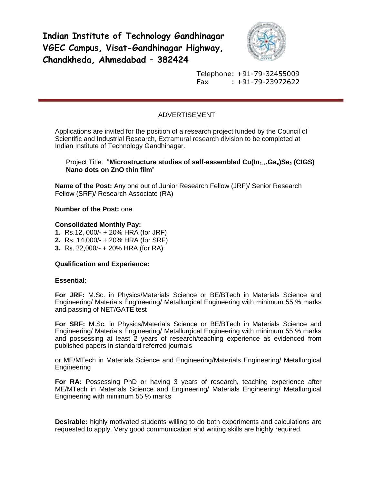**Indian Institute of Technology Gandhinagar VGEC Campus, Visat-Gandhinagar Highway, Chandkheda, Ahmedabad – 382424**



Telephone: +91-79-32455009 Fax : +91-79-23972622

# ADVERTISEMENT

Applications are invited for the position of a research project funded by the Council of Scientific and Industrial Research, Extramural research division to be completed at Indian Institute of Technology Gandhinagar.

## Project Title: "**Microstructure studies of self-assembled Cu(In1-x,Gax)Se<sup>2</sup> (CIGS) Nano dots on ZnO thin film**"

**Name of the Post:** Any one out of Junior Research Fellow (JRF)/ Senior Research Fellow (SRF)/ Research Associate (RA)

**Number of the Post:** one

### **Consolidated Monthly Pay:**

- **1.** Rs.12, 000/- + 20% HRA (for JRF)
- **2.** Rs. 14,000/- + 20% HRA (for SRF)
- **3.** Rs. 22,000/- + 20% HRA (for RA)

#### **Qualification and Experience:**

#### **Essential:**

**For JRF:** M.Sc. in Physics/Materials Science or BE/BTech in Materials Science and Engineering/ Materials Engineering/ Metallurgical Engineering with minimum 55 % marks and passing of NET/GATE test

**For SRF:** M.Sc. in Physics/Materials Science or BE/BTech in Materials Science and Engineering/ Materials Engineering/ Metallurgical Engineering with minimum 55 % marks and possessing at least 2 years of research/teaching experience as evidenced from published papers in standard referred journals

or ME/MTech in Materials Science and Engineering/Materials Engineering/ Metallurgical Engineering

**For RA:** Possessing PhD or having 3 years of research, teaching experience after ME/MTech in Materials Science and Engineering/ Materials Engineering/ Metallurgical Engineering with minimum 55 % marks

**Desirable:** highly motivated students willing to do both experiments and calculations are requested to apply. Very good communication and writing skills are highly required.